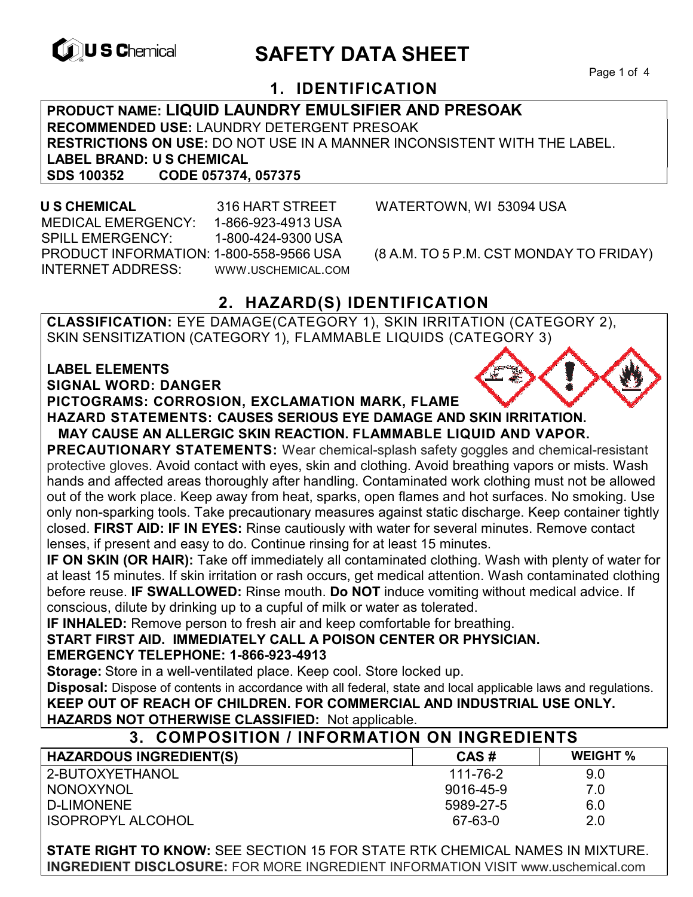

# **EXAGREM** SAFETY DATA SHEET

Page 1 of 4

## **1. IDENTIFICATION**

**PRODUCT NAME: LIQUID LAUNDRY EMULSIFIER AND PRESOAK RECOMMENDED USE:** LAUNDRY DETERGENT PRESOAK **RESTRICTIONS ON USE:** DO NOT USE IN A MANNER INCONSISTENT WITH THE LABEL. **LABEL BRAND: U S CHEMICAL SDS 100352 CODE 057374, 057375** 

 **U S CHEMICAL** 316 HART STREET WATERTOWN, WI 53094 USA MEDICAL EMERGENCY: 1-866-923-4913 USA SPILL EMERGENCY: 1-800-424-9300 USA PRODUCT INFORMATION: 1-800-558-9566 USA (8 A.M. TO 5 P.M. CST MONDAY TO FRIDAY) INTERNET ADDRESS: WWW.USCHEMICAL.COM

# **2. HAZARD(S) IDENTIFICATION**

**CLASSIFICATION:** EYE DAMAGE(CATEGORY 1), SKIN IRRITATION (CATEGORY 2), SKIN SENSITIZATION (CATEGORY 1), FLAMMABLE LIQUIDS (CATEGORY 3)

## **LABEL ELEMENTS**

**SIGNAL WORD: DANGER**

#### **PICTOGRAMS: CORROSION, EXCLAMATION MARK, FLAME**

**HAZARD STATEMENTS: CAUSES SERIOUS EYE DAMAGE AND SKIN IRRITATION.** 

#### **MAY CAUSE AN ALLERGIC SKIN REACTION. FLAMMABLE LIQUID AND VAPOR.**

**PRECAUTIONARY STATEMENTS:** Wear chemical-splash safety goggles and chemical-resistant protective gloves. Avoid contact with eyes, skin and clothing. Avoid breathing vapors or mists. Wash hands and affected areas thoroughly after handling. Contaminated work clothing must not be allowed out of the work place. Keep away from heat, sparks, open flames and hot surfaces. No smoking. Use only non-sparking tools. Take precautionary measures against static discharge. Keep container tightly closed. **FIRST AID: IF IN EYES:** Rinse cautiously with water for several minutes. Remove contact lenses, if present and easy to do. Continue rinsing for at least 15 minutes.

**IF ON SKIN (OR HAIR):** Take off immediately all contaminated clothing. Wash with plenty of water for at least 15 minutes. If skin irritation or rash occurs, get medical attention. Wash contaminated clothing before reuse. **IF SWALLOWED:** Rinse mouth. **Do NOT** induce vomiting without medical advice. If conscious, dilute by drinking up to a cupful of milk or water as tolerated.

**IF INHALED:** Remove person to fresh air and keep comfortable for breathing.

**START FIRST AID. IMMEDIATELY CALL A POISON CENTER OR PHYSICIAN.** 

#### **EMERGENCY TELEPHONE: 1-866-923-4913**

**Storage:** Store in a well-ventilated place. Keep cool. Store locked up.

**Disposal:** Dispose of contents in accordance with all federal, state and local applicable laws and regulations. **KEEP OUT OF REACH OF CHILDREN. FOR COMMERCIAL AND INDUSTRIAL USE ONLY. HAZARDS NOT OTHERWISE CLASSIFIED:** Not applicable.

#### **3. COMPOSITION / INFORMATION ON INGREDIENTS**

| <b>HAZARDOUS INGREDIENT(S)</b> | CAS#      | <b>WEIGHT</b> % |
|--------------------------------|-----------|-----------------|
| 2-BUTOXYETHANOL                | 111-76-2  | 9.0             |
| <b>NONOXYNOL</b>               | 9016-45-9 | 7.0             |
| <b>D-LIMONENE</b>              | 5989-27-5 | 6.0             |
| <b>ISOPROPYL ALCOHOL</b>       | 67-63-0   | 2.0             |

**STATE RIGHT TO KNOW:** SEE SECTION 15 FOR STATE RTK CHEMICAL NAMES IN MIXTURE. **INGREDIENT DISCLOSURE:** FOR MORE INGREDIENT INFORMATION VISIT www.uschemical.com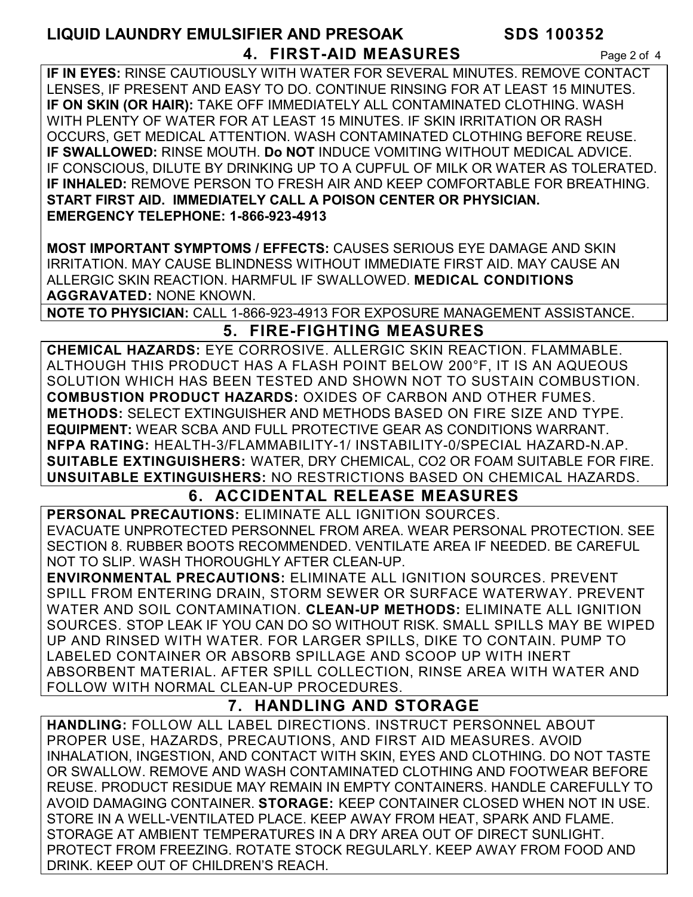# **LIQUID LAUNDRY EMULSIFIER AND PRESOAK SDS 100352 4. FIRST-AID MEASURES** Page 2 of 4

**IF IN EYES:** RINSE CAUTIOUSLY WITH WATER FOR SEVERAL MINUTES. REMOVE CONTACT LENSES, IF PRESENT AND EASY TO DO. CONTINUE RINSING FOR AT LEAST 15 MINUTES. **IF ON SKIN (OR HAIR):** TAKE OFF IMMEDIATELY ALL CONTAMINATED CLOTHING. WASH WITH PLENTY OF WATER FOR AT LEAST 15 MINUTES. IF SKIN IRRITATION OR RASH OCCURS, GET MEDICAL ATTENTION. WASH CONTAMINATED CLOTHING BEFORE REUSE. **IF SWALLOWED:** RINSE MOUTH. **Do NOT** INDUCE VOMITING WITHOUT MEDICAL ADVICE. IF CONSCIOUS, DILUTE BY DRINKING UP TO A CUPFUL OF MILK OR WATER AS TOLERATED. **IF INHALED:** REMOVE PERSON TO FRESH AIR AND KEEP COMFORTABLE FOR BREATHING. **START FIRST AID. IMMEDIATELY CALL A POISON CENTER OR PHYSICIAN. EMERGENCY TELEPHONE: 1-866-923-4913**

**MOST IMPORTANT SYMPTOMS / EFFECTS:** CAUSES SERIOUS EYE DAMAGE AND SKIN IRRITATION. MAY CAUSE BLINDNESS WITHOUT IMMEDIATE FIRST AID. MAY CAUSE AN ALLERGIC SKIN REACTION. HARMFUL IF SWALLOWED. **MEDICAL CONDITIONS AGGRAVATED:** NONE KNOWN.

**NOTE TO PHYSICIAN:** CALL 1-866-923-4913 FOR EXPOSURE MANAGEMENT ASSISTANCE.

#### **5. FIRE-FIGHTING MEASURES**

**CHEMICAL HAZARDS:** EYE CORROSIVE. ALLERGIC SKIN REACTION. FLAMMABLE. ALTHOUGH THIS PRODUCT HAS A FLASH POINT BELOW 200°F, IT IS AN AQUEOUS SOLUTION WHICH HAS BEEN TESTED AND SHOWN NOT TO SUSTAIN COMBUSTION. **COMBUSTION PRODUCT HAZARDS:** OXIDES OF CARBON AND OTHER FUMES. **METHODS:** SELECT EXTINGUISHER AND METHODS BASED ON FIRE SIZE AND TYPE. **EQUIPMENT:** WEAR SCBA AND FULL PROTECTIVE GEAR AS CONDITIONS WARRANT. **NFPA RATING:** HEALTH-3/FLAMMABILITY-1/ INSTABILITY-0/SPECIAL HAZARD-N.AP. **SUITABLE EXTINGUISHERS:** WATER, DRY CHEMICAL, CO2 OR FOAM SUITABLE FOR FIRE. **UNSUITABLE EXTINGUISHERS:** NO RESTRICTIONS BASED ON CHEMICAL HAZARDS.

#### **6. ACCIDENTAL RELEASE MEASURES**

**PERSONAL PRECAUTIONS:** ELIMINATE ALL IGNITION SOURCES. EVACUATE UNPROTECTED PERSONNEL FROM AREA. WEAR PERSONAL PROTECTION. SEE SECTION 8. RUBBER BOOTS RECOMMENDED. VENTILATE AREA IF NEEDED. BE CAREFUL NOT TO SLIP. WASH THOROUGHLY AFTER CLEAN-UP.

**ENVIRONMENTAL PRECAUTIONS:** ELIMINATE ALL IGNITION SOURCES. PREVENT SPILL FROM ENTERING DRAIN, STORM SEWER OR SURFACE WATERWAY. PREVENT WATER AND SOIL CONTAMINATION. **CLEAN-UP METHODS:** ELIMINATE ALL IGNITION SOURCES. STOP LEAK IF YOU CAN DO SO WITHOUT RISK. SMALL SPILLS MAY BE WIPED UP AND RINSED WITH WATER. FOR LARGER SPILLS, DIKE TO CONTAIN. PUMP TO LABELED CONTAINER OR ABSORB SPILLAGE AND SCOOP UP WITH INERT ABSORBENT MATERIAL. AFTER SPILL COLLECTION, RINSE AREA WITH WATER AND FOLLOW WITH NORMAL CLEAN-UP PROCEDURES.

#### **7. HANDLING AND STORAGE**

**HANDLING:** FOLLOW ALL LABEL DIRECTIONS. INSTRUCT PERSONNEL ABOUT PROPER USE, HAZARDS, PRECAUTIONS, AND FIRST AID MEASURES. AVOID INHALATION, INGESTION, AND CONTACT WITH SKIN, EYES AND CLOTHING. DO NOT TASTE OR SWALLOW. REMOVE AND WASH CONTAMINATED CLOTHING AND FOOTWEAR BEFORE REUSE. PRODUCT RESIDUE MAY REMAIN IN EMPTY CONTAINERS. HANDLE CAREFULLY TO AVOID DAMAGING CONTAINER. **STORAGE:** KEEP CONTAINER CLOSED WHEN NOT IN USE. STORE IN A WELL-VENTILATED PLACE. KEEP AWAY FROM HEAT, SPARK AND FLAME. STORAGE AT AMBIENT TEMPERATURES IN A DRY AREA OUT OF DIRECT SUNLIGHT. PROTECT FROM FREEZING. ROTATE STOCK REGULARLY. KEEP AWAY FROM FOOD AND DRINK. KEEP OUT OF CHILDREN'S REACH.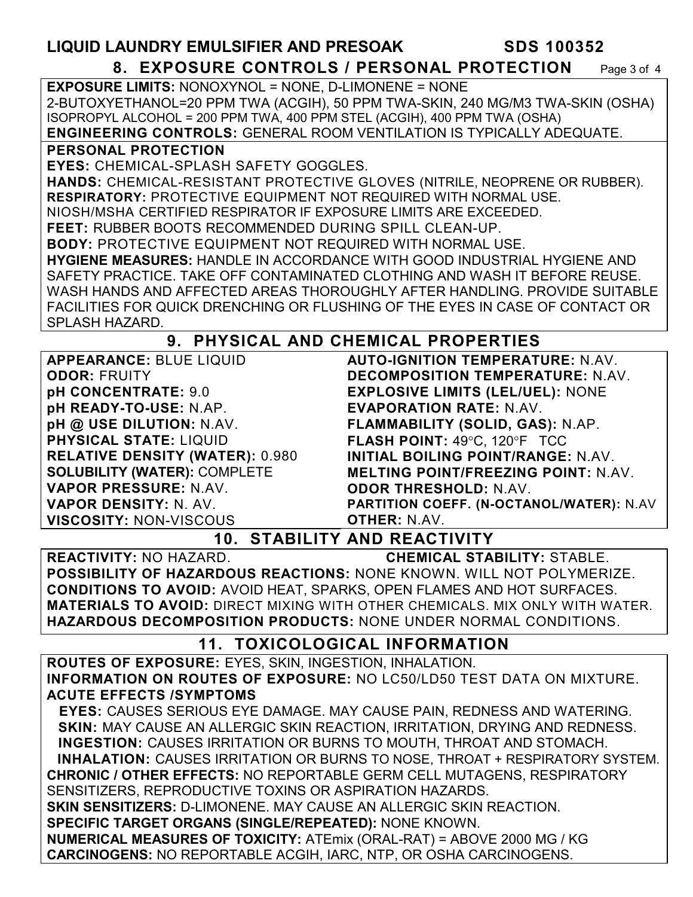#### **LIQUID LAUNDRY EMULSIFIER AND PRESOAK SDS 100352 8. EXPOSURE CONTROLS / PERSONAL PROTECTION** Page 3 of 4 **EXPOSURE LIMITS:** NONOXYNOL = NONE, D-LIMONENE = NONE

2-BUTOXYETHANOL=20 PPM TWA (ACGIH), 50 PPM TWA-SKIN, 240 MG/M3 TWA-SKIN (OSHA) ISOPROPYL ALCOHOL = 200 PPM TWA, 400 PPM STEL (ACGIH), 400 PPM TWA (OSHA)

**ENGINEERING CONTROLS:** GENERAL ROOM VENTILATION IS TYPICALLY ADEQUATE.

**PERSONAL PROTECTION** 

**EYES:** CHEMICAL-SPLASH SAFETY GOGGLES.

**HANDS:** CHEMICAL-RESISTANT PROTECTIVE GLOVES (NITRILE, NEOPRENE OR RUBBER). **RESPIRATORY:** PROTECTIVE EQUIPMENT NOT REQUIRED WITH NORMAL USE.

NIOSH/MSHA CERTIFIED RESPIRATOR IF EXPOSURE LIMITS ARE EXCEEDED.

**FEET:** RUBBER BOOTS RECOMMENDED DURING SPILL CLEAN-UP.

**BODY:** PROTECTIVE EQUIPMENT NOT REQUIRED WITH NORMAL USE.

**HYGIENE MEASURES:** HANDLE IN ACCORDANCE WITH GOOD INDUSTRIAL HYGIENE AND SAFETY PRACTICE. TAKE OFF CONTAMINATED CLOTHING AND WASH IT BEFORE REUSE. WASH HANDS AND AFFECTED AREAS THOROUGHLY AFTER HANDLING. PROVIDE SUITABLE FACILITIES FOR QUICK DRENCHING OR FLUSHING OF THE EYES IN CASE OF CONTACT OR SPLASH HAZARD.

# **9. PHYSICAL AND CHEMICAL PROPERTIES**

| <b>APPEARANCE: BLUE LIQUID</b>         | <b>AUTO-IGNITION TEMPERATURE: N.AV.</b>         |
|----------------------------------------|-------------------------------------------------|
| <b>ODOR: FRUITY</b>                    | <b>DECOMPOSITION TEMPERATURE: N.AV.</b>         |
| pH CONCENTRATE: 9.0                    | <b>EXPLOSIVE LIMITS (LEL/UEL): NONE</b>         |
| pH READY-TO-USE: N.AP.                 | <b>EVAPORATION RATE: N.AV.</b>                  |
| pH @ USE DILUTION: N.AV.               | FLAMMABILITY (SOLID, GAS): N.AP.                |
| <b>PHYSICAL STATE: LIQUID</b>          | FLASH POINT: 49°C, 120°F TCC                    |
| <b>RELATIVE DENSITY (WATER): 0.980</b> | INITIAL BOILING POINT/RANGE: N.AV.              |
| <b>SOLUBILITY (WATER): COMPLETE</b>    | <b>MELTING POINT/FREEZING POINT: N.AV.</b>      |
| VAPOR PRESSURE: N.AV.                  | <b>ODOR THRESHOLD: N.AV.</b>                    |
| <b>VAPOR DENSITY: N. AV.</b>           | <b>PARTITION COEFF. (N-OCTANOL/WATER): N.AV</b> |
| <b>VISCOSITY: NON-VISCOUS</b>          | <b>OTHER: N.AV.</b>                             |
| 1 N                                    | <b>CTARILITY AND DEACTIVITY</b>                 |

**10. STABILITY AND REACTIVITY** 

**REACTIVITY:** NO HAZARD. **CHEMICAL STABILITY:** STABLE. **POSSIBILITY OF HAZARDOUS REACTIONS:** NONE KNOWN. WILL NOT POLYMERIZE. **CONDITIONS TO AVOID:** AVOID HEAT, SPARKS, OPEN FLAMES AND HOT SURFACES. **MATERIALS TO AVOID:** DIRECT MIXING WITH OTHER CHEMICALS. MIX ONLY WITH WATER. **HAZARDOUS DECOMPOSITION PRODUCTS:** NONE UNDER NORMAL CONDITIONS.

# **11. TOXICOLOGICAL INFORMATION**

**ROUTES OF EXPOSURE:** EYES, SKIN, INGESTION, INHALATION. **INFORMATION ON ROUTES OF EXPOSURE:** NO LC50/LD50 TEST DATA ON MIXTURE. **ACUTE EFFECTS /SYMPTOMS**

 **EYES:** CAUSES SERIOUS EYE DAMAGE. MAY CAUSE PAIN, REDNESS AND WATERING. **SKIN:** MAY CAUSE AN ALLERGIC SKIN REACTION, IRRITATION, DRYING AND REDNESS. **INGESTION:** CAUSES IRRITATION OR BURNS TO MOUTH, THROAT AND STOMACH. **INHALATION:** CAUSES IRRITATION OR BURNS TO NOSE, THROAT + RESPIRATORY SYSTEM. **CHRONIC / OTHER EFFECTS:** NO REPORTABLE GERM CELL MUTAGENS, RESPIRATORY SENSITIZERS, REPRODUCTIVE TOXINS OR ASPIRATION HAZARDS. **SKIN SENSITIZERS:** D-LIMONENE. MAY CAUSE AN ALLERGIC SKIN REACTION. **SPECIFIC TARGET ORGANS (SINGLE/REPEATED):** NONE KNOWN. **NUMERICAL MEASURES OF TOXICITY:** ATEmix (ORAL-RAT) = ABOVE 2000 MG / KG **CARCINOGENS:** NO REPORTABLE ACGIH, IARC, NTP, OR OSHA CARCINOGENS.